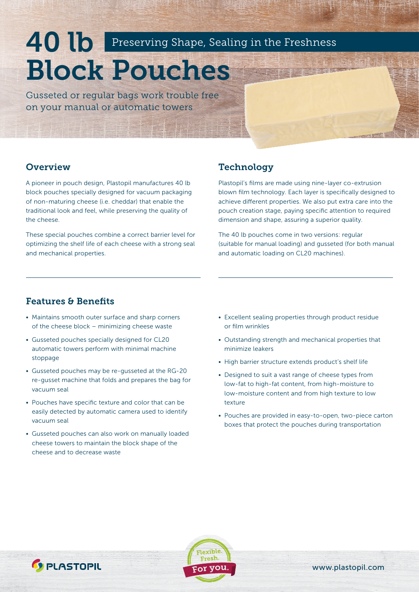# 40 lb Block Pouches Preserving Shape, Sealing in the Freshness

Gusseted or regular bags work trouble free on your manual or automatic towers

#### **Overview**

A pioneer in pouch design, Plastopil manufactures 40 lb block pouches specially designed for vacuum packaging of non-maturing cheese (i.e. cheddar) that enable the traditional look and feel, while preserving the quality of the cheese.

These special pouches combine a correct barrier level for optimizing the shelf life of each cheese with a strong seal and mechanical properties.

#### **Technology**

Plastopil's films are made using nine-layer co-extrusion blown film technology. Each layer is specifically designed to achieve different properties. We also put extra care into the pouch creation stage, paying specific attention to required dimension and shape, assuring a superior quality.

The 40 lb pouches come in two versions: regular (suitable for manual loading) and gusseted (for both manual and automatic loading on CL20 machines).

### Features & Benefits

*<u>S</u>* PLASTOPIL

- Maintains smooth outer surface and sharp corners of the cheese block – minimizing cheese waste
- Gusseted pouches specially designed for CL20 automatic towers perform with minimal machine stoppage
- Gusseted pouches may be re-gusseted at the RG-20 re-gusset machine that folds and prepares the bag for vacuum seal
- Pouches have specific texture and color that can be easily detected by automatic camera used to identify vacuum seal
- Gusseted pouches can also work on manually loaded cheese towers to maintain the block shape of the cheese and to decrease waste
- Excellent sealing properties through product residue or film wrinkles
- Outstanding strength and mechanical properties that minimize leakers
- High barrier structure extends product's shelf life
- Designed to suit a vast range of cheese types from low-fat to high-fat content, from high-moisture to low-moisture content and from high texture to low texture
- Pouches are provided in easy-to-open, two-piece carton boxes that protect the pouches during transportation